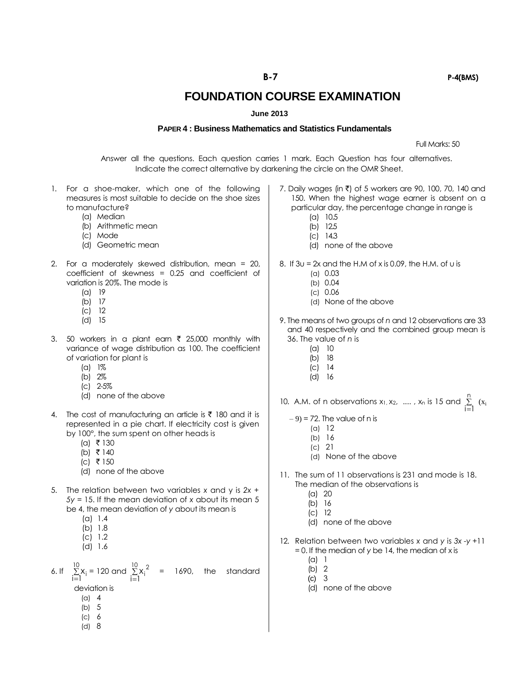**FOUNDATION COURSE EXAMINATION**

## **June 2013**

## **PAPER 4 : Business Mathematics and Statistics Fundamentals**

Full Marks: 50

Answer all the questions. Each question carries 1 mark. Each Question has four alternatives. Indicate the correct alternative by darkening the circle on the OMR Sheet.

- 1. For a shoe-maker, which one of the following measures is most suitable to decide on the shoe sizes to manufacture?
	- (a) Median
	- (b) Arithmetic mean
	- (c) Mode
	- (d) Geometric mean
- 2. For a moderately skewed distribution, mean = 20, coefficient of skewness = 0.25 and coefficient of variation is 20%. The mode is
	- (a) 19
	- (b) 17
	- (c) 12
	- (d) 15
- 3. 50 workers in a plant earn  $\bar{\tau}$  25,000 monthly with variance of wage distribution as 100. The coefficient of variation for plant is
	- (a) 1%
	- (b) 2%
	- (c) 2-5%
	- (d) none of the above
- 4. The cost of manufacturing an article is  $\bar{\tau}$  180 and it is represented in a pie chart. If electricity cost is given by 100°, the sum spent on other heads is
	- $(a)$  ₹ 130
	- $(b) \bar{\tau}$  140
	- $|c|$  ₹ 150
	- (d) none of the above
- 5. The relation between two variables *x* and y is *2x + 5y* = 15. If the mean deviation of *x* about its mean 5 be 4, the mean deviation of *y* about its mean is
	- (a) 1.4
	- (b) 1.8
	- (c) 1.2
	- (d) 1.6

6. If  $\Sigma$  $=$ 10 i=l<sup>^i</sup>  $x_i = 120$  and  $\Sigma$  $=$  $\sum_{i=1}^{10} x_i^2$  $x_i^2$  = 1690, the standard deviation is

- 
- (a) 4 (b) 5
- (c) 6
- (d) 8
- 7. Daily wages (in  $\bar{\tau}$ ) of 5 workers are 90, 100, 70, 140 and 150. When the highest wage earner is absent on a particular day, the percentage change in range is
	- (a) 10.5
	- (b) 12.5 (c) 14.3
	- (d) none of the above
- 8. If  $3u = 2x$  and the H.M of x is 0.09, the H.M. of u is
	- (a) 0.03
	- (b) 0.04
	- (c) 0.06
	- (d) None of the above
- 9. The means of two groups of *n* and 12 observations are 33 and 40 respectively and the combined group mean is 36. The value of *n* is
	- (a) 10
	- (b) 18
	- (c) 14
	- (d) 16
- 10. A.M. of n observations  $x_1, x_2, \ldots, x_n$  is 15 and  $\Sigma$  $=$ n  $\sum_{i=1}^{\infty}$  (x<sub>i</sub>
	- $-9$ ) = 72. The value of n is
		- (a) 12
		- (b) 16
		- (c) 21
		- (d) None of the above
- 11. The sum of 11 observations is 231 and mode is 18. The median of the observations is
	- (a) 20
	- (b) 16
	- $\overline{c}$ ) 12
	- (d) none of the above
- 12. Relation between two variables *x* and *y* is *3x -y* +11 = 0. If the median of *y* be 14, the median of x is
	- (a) 1
	- (b) 2
	- (c) 3
	- (d) none of the above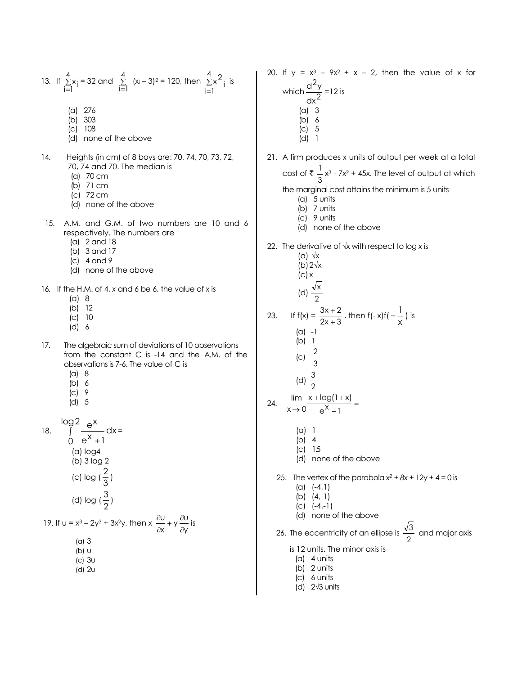13. If 
$$
\sum_{i=1}^{4} x_i = 32
$$
 and  $\sum_{i=1}^{4} (x_i - 3)^2 = 120$ , then  $\sum_{i=1}^{4} x_i^2$  is

- (a) 276
- (b) 303
- (c) 108
- (d) none of the above
- 14. Heights (in cm) of 8 boys are: 70, 74, 70, 73, 72, 70, 74 and 70. The median is
	- (a) 70 cm
	- (b) 71 cm
	- (c) 72 cm
	- (d) none of the above
- 15. A.M. and G.M. of two numbers are 10 and 6 respectively. The numbers are
	- (a) 2 and 18
	- (b) 3 and 17
	- (c) 4 and 9
	- (d) none of the above
- 16. If the H.M. of 4, *x* and 6 be 6, the value of *x* is
	- (a) 8
	- (b) 12
	- (c) 10 (d) 6
- 17. The algebraic sum of deviations of 10 observations from the constant C is -14 and the A.M. of the observations is 7-6. The value of C is

 $\frac{U}{x} + y \frac{\partial U}{\partial y}$ u

 $\partial$  $\frac{\partial U}{\partial x} + y \frac{\partial}{\partial y}$  $\frac{\partial U}{\partial x} + y \frac{\partial U}{\partial y}$  is

- (a) 8
- (b) 6
- (c) 9 (d) 5
- 

18. 
$$
\int_{0}^{\log 2} \frac{e^{x}}{e^{x} + 1} dx =
$$
\n(a) log4  
\n(b) 3 log 2  
\n(c) log  $(\frac{2}{3})$   
\n(d) log  $(\frac{3}{2})$   
\n19. If  $u = x^3 - 2y^3 + 3x^2y$ , then  $x \frac{\partial u}{\partial x} + y \frac{\partial u}{\partial y}$ 

(a) 3

- (b) u (c) 3u
- (d) 2u

20. If 
$$
y = x^3 - 9x^2 + x - 2
$$
, then the value of x for  
\nwhich  $\frac{d^2y}{dx^2} = 12$  is  
\n(a) 3  
\n(b) 6  
\n(c) 5  
\n(d) 1  
\n21. A firm produces x units of output per week at a total  
\ncost of  $\frac{1}{3}x^3 - 7x^2 + 45x$ . The level of output at which  
\nthe marginal cost attains the minimum is 5 units  
\n(a) 5 units  
\n(b) 7 units  
\n(c) 9 units  
\n(d) none of the above  
\n22. The derivative of  $\sqrt{x}$  with respect to log x is  
\n(a)  $\frac{\sqrt{x}}{2}$   
\n(b) 2 $\sqrt{x}$   
\n(c) x  
\n(d)  $\frac{\sqrt{x}}{2}$   
\n23. If  $f(x) = \frac{3x+2}{2x+3}$ , then  $f(-x)f(-\frac{1}{x})$  is  
\n(a) -1  
\n(b) 1  
\n(c)  $\frac{2}{3}$   
\n(d)  $\frac{3}{2}$ 

24. 
$$
\lim_{x \to 0} \frac{x + \log(1 + x)}{e^{x} - 1} =
$$

- (a) 1
- (b) 4
- (c) 1.5
- (d) none of the above
- 25. The vertex of the parabola  $x^2 + 8x + 12y + 4 = 0$  is (a) (-4,1)
	- (b) (4,-1)
	- (c) (-4,-1)
	- (d) none of the above
- 26. The eccentricity of an ellipse is  $\frac{1}{2}$ 3 and major axis
	- is 12 units. The minor axis is
		- (a) 4 units
		- (b) 2 units
		- (c) 6 units
		- (d) 2√3 units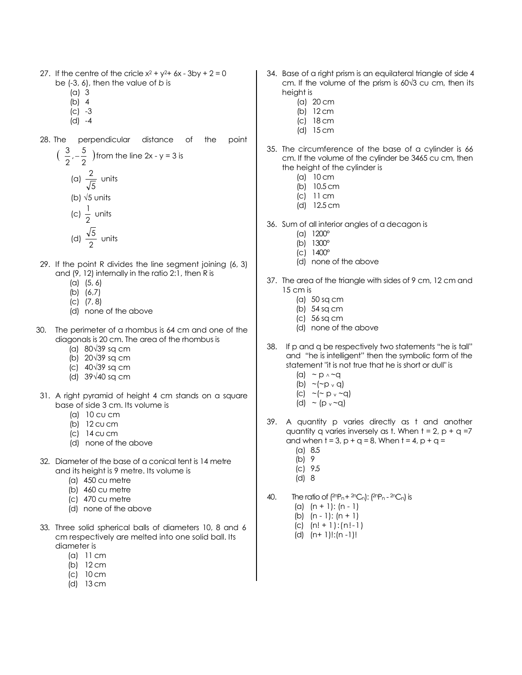- 27. If the centre of the cricle  $x^2 + y^2 + 6x 3$ by + 2 = 0 be (-3, 6), then the value of *b* is
	- (a) 3
	- (b) 4
	- (c) -3
	- (d) -4
- 28. The perpendicular distance of the point

$$
\left(\begin{array}{c}\n\frac{3}{2}, -\frac{5}{2}\n\end{array}\right)
$$
 from the line 2x - y = 3 is  
\n(a)  $\frac{2}{\sqrt{5}}$  units  
\n(b)  $\sqrt{5}$  units  
\n(c)  $\frac{1}{2}$  units  
\n(d)  $\frac{\sqrt{5}}{2}$  units

- 29. If the point R divides the line segment joining (6, 3) and (9, 12) internally in the ratio 2:1, then R is
	- (a) (5, 6)
	- (b) (6,7)
	- (c) (7, 8)
	- (d) none of the above
- 30. The perimeter of a rhombus is 64 cm and one of the diagonals is 20 cm. The area of the rhombus is
	- (a) 80√39 sq cm
	- (b) 20√39 sq cm
	- (c) 40√39 sq cm
	- (d) 39√40 sq cm
- 31. A right pyramid of height 4 cm stands on a square base of side 3 cm. Its volume is
	- (a) 10 cu cm
	- (b) 12 cu cm
	- (c) 14 cu cm
	- (d) none of the above
- 32. Diameter of the base of a conical tent is 14 metre and its height is 9 metre. Its volume is
	- (a) 450 cu metre
	- (b) 460 cu metre
	- (c) 470 cu metre
	- (d) none of the above
- 33. Three solid spherical balls of diameters 10, 8 and 6 cm respectively are melted into one solid ball. Its diameter is
	- (a) 11 cm
	- (b) 12 cm
	- (c) 10 cm
	- (d) 13 cm
- 34. Base of a right prism is an equilateral triangle of side 4 cm. If the volume of the prism is 60√3 cu cm, then its height is
	- (a) 20 cm
	- (b) 12 cm
	- (c) 18 cm
	- (d) 15 cm
- 35. The circumference of the base of a cylinder is 66 cm. If the volume of the cylinder be 3465 cu cm, then the height of the cylinder is
	- (a) 10 cm
	- (b) 10.5 cm
	- (c) 11 cm
	- (d) 12.5 cm
- 36. Sum of all interior angles of a decagon is
	- (a) 1200°
	- (b) 1300°
	- (c) 1400°
	- (d) none of the above
- 37. The area of the triangle with sides of 9 cm, 12 cm and 15 cm is
	- (a) 50 sq cm
	- (b) 54 sq cm
	- (c) 56 sq cm
	- (d) none of the above
- 38. If p and q be respectively two statements "he is tall" and "he is intelligent" then the symbolic form of the statement "it is not true that he is short or dull" is
	- (a)  $\sim p \wedge \sim q$ (b)  $\sim$  ( $\sim$  p  $\rm{v}$  q)
	- (c)  $\sim$  ( $\sim$  p  $\sim$   $\sim$  q)
	- (d)  $\sim$  (p  $\sim$  -q)
- 39. A quantity p varies directly as t and another quantity q varies inversely as t. When  $t = 2$ ,  $p + q = 7$ and when  $t = 3$ ,  $p + q = 8$ . When  $t = 4$ ,  $p + q =$ 
	- (a) 8.5
	- (b) 9
	- (c) 9.5
	- (d) 8
- 40. The ratio of  $(2nP_n + 2nC_n)$ :  $(2nP_n 2nC_n)$  is
	- (a)  $(n + 1)$ :  $(n 1)$
	- (b)  $(n 1)$ :  $(n + 1)$
	- $(c)$   $(n! + 1):(n! 1)$
	- (d) (n+ 1)!:(n -1)!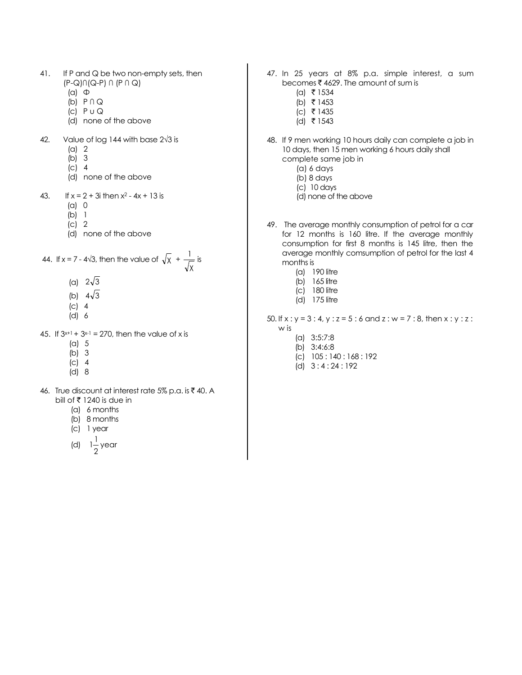- 41. If P and Q be two non-empty sets, then (P-Q)∩(Q-P) ∩ (P ∩ Q)
	- $(a)$   $\Phi$
	- (b) P ∩ Q
	- (c)  $P \cup Q$
	- (d) none of the above
- 42. Value of log 144 with base 2√3 is
	- (a) 2
	- (b) 3
	- (c) 4
	- (d) none of the above
- 43. If  $x = 2 + 3i$  then  $x^2 4x + 13$  is
	- (a) 0
	- (b) 1
	- (c) 2
	- (d) none of the above

44. If 
$$
x = 7 - 4\sqrt{3}
$$
, then the value of  $\sqrt{x} + \frac{1}{\sqrt{x}}$  is

- (a)  $2\sqrt{3}$
- (b)  $4\sqrt{3}$
- (c) 4
- (d) 6
- 45. If  $3^{x+1}$  +  $3^{x-1}$  = 270, then the value of x is
	- (a) 5
	- (b) 3
	- (c) 4
	- $(d)$  8
- 46. True discount at interest rate 5% p.a. is  $\bar{z}$  40. A bill of  $\overline{\xi}$  1240 is due in
	- (a) 6 months
	- (b) 8 months
	- (c) 1 year
	- (d)  $1\frac{1}{2}$ 1 1 year
- 47. In 25 years at 8% p.a. simple interest, a sum becomes  $\bar{\bar{\tau}}$  4629. The amount of sum is
	- $(a)$  ₹ 1534
	- (b) ₹ 1453
	- $(c)$  ₹ 1435 (d) ₹ 1543
- 48. If 9 men working 10 hours daily can complete a job in 10 days, then 15 men working 6 hours daily shall complete same job in
	- (a) 6 days
	- (b) 8 days
	- (c) 10 days
	- (d) none of the above
- 49. The average monthly consumption of petrol for a car for 12 months is 160 litre. If the average monthly consumption for first 8 months is 145 litre, then the average monthly comsumption of petrol for the last 4 months is
	- (a) 190 litre
	- (b) 165 litre
	- (c) 180 litre
	- (d) 175 litre
- 50. If  $x : y = 3 : 4$ ,  $y : z = 5 : 6$  and  $z : w = 7 : 8$ , then  $x : y : z : z$ w is
	- (a) 3:5:7:8
	- (b) 3:4:6:8
	- (c) 105 : 140 : 168 : 192
	- (d) 3 : 4 : 24 : 192